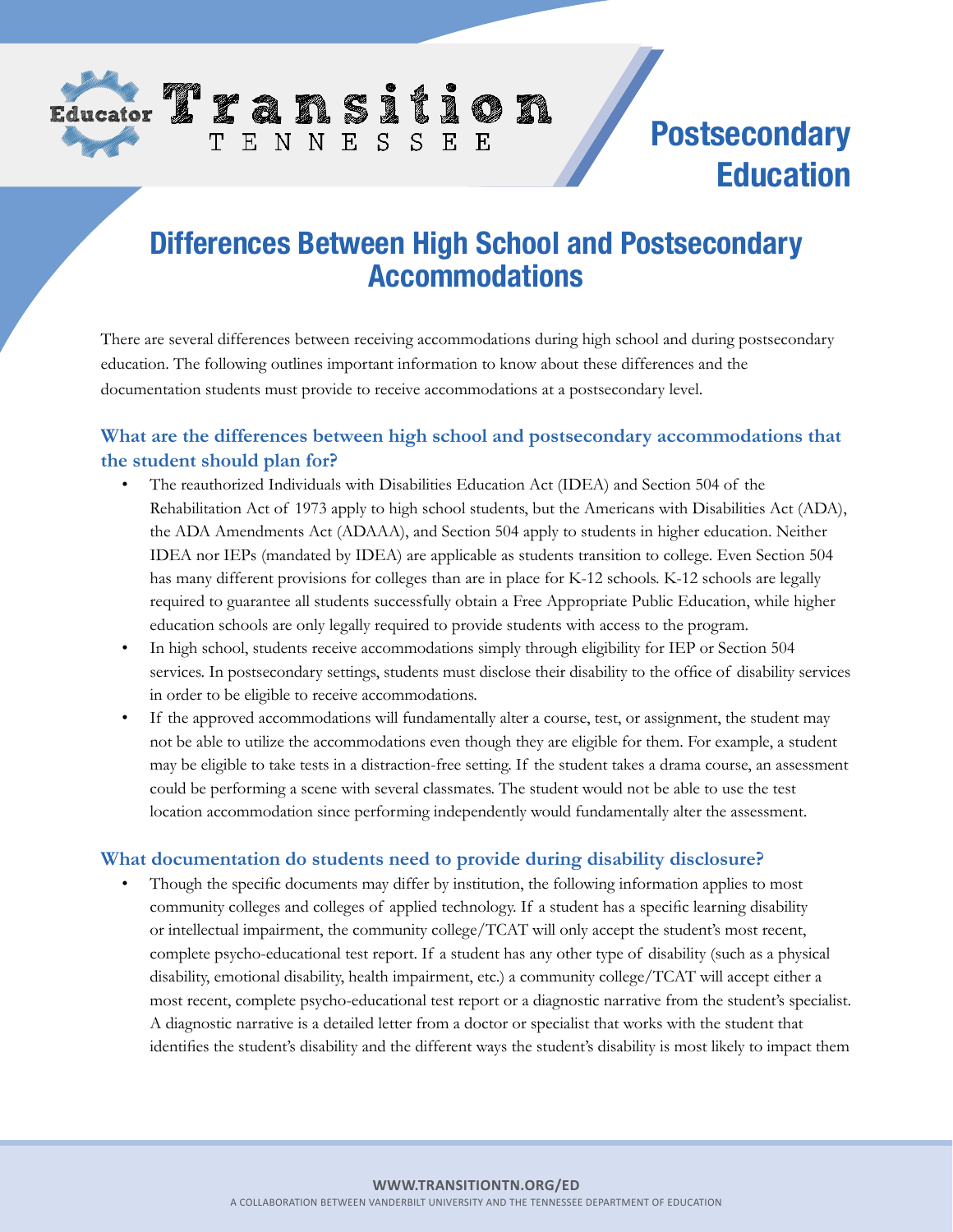

# **Postsecondary Education**

## **Differences Between High School and Postsecondary Accommodations**

TENNESSEE

There are several differences between receiving accommodations during high school and during postsecondary education. The following outlines important information to know about these differences and the documentation students must provide to receive accommodations at a postsecondary level.

#### **What are the differences between high school and postsecondary accommodations that the student should plan for?**

- The reauthorized Individuals with Disabilities Education Act (IDEA) and Section 504 of the Rehabilitation Act of 1973 apply to high school students, but the Americans with Disabilities Act (ADA), the ADA Amendments Act (ADAAA), and Section 504 apply to students in higher education. Neither IDEA nor IEPs (mandated by IDEA) are applicable as students transition to college. Even Section 504 has many different provisions for colleges than are in place for K-12 schools. K-12 schools are legally required to guarantee all students successfully obtain a Free Appropriate Public Education, while higher education schools are only legally required to provide students with access to the program.
- In high school, students receive accommodations simply through eligibility for IEP or Section 504 services. In postsecondary settings, students must disclose their disability to the office of disability services in order to be eligible to receive accommodations.
- If the approved accommodations will fundamentally alter a course, test, or assignment, the student may not be able to utilize the accommodations even though they are eligible for them. For example, a student may be eligible to take tests in a distraction-free setting. If the student takes a drama course, an assessment could be performing a scene with several classmates. The student would not be able to use the test location accommodation since performing independently would fundamentally alter the assessment.

#### **What documentation do students need to provide during disability disclosure?**

Though the specific documents may differ by institution, the following information applies to most community colleges and colleges of applied technology. If a student has a specific learning disability or intellectual impairment, the community college/TCAT will only accept the student's most recent, complete psycho-educational test report. If a student has any other type of disability (such as a physical disability, emotional disability, health impairment, etc.) a community college/TCAT will accept either a most recent, complete psycho-educational test report or a diagnostic narrative from the student's specialist. A diagnostic narrative is a detailed letter from a doctor or specialist that works with the student that identifies the student's disability and the different ways the student's disability is most likely to impact them